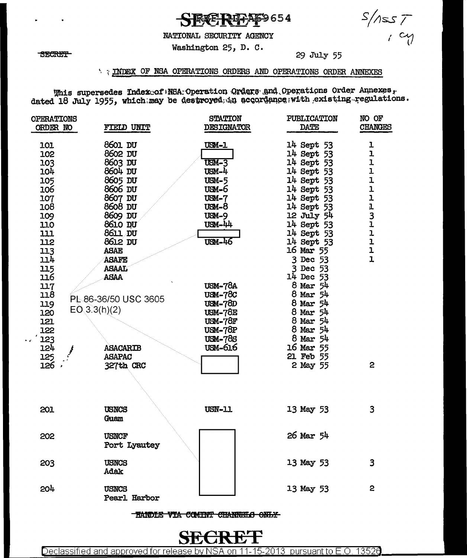**QUI-A69654** 

### NATIONAL SECURITY AGENCY

### Washington 25, D. C.

29 July 55

 $S/MsS$ 

### INDEX OF NSA OPERATIONS ORDERS AND OPERATIONS ORDER ANNEXES

This supersedes Indexective NSA: Operation Orders and Operations Order Annexes,<br>dated 18 July 1955, which may be destroyed in accordance with existing regulations.

| <b>OPERATIONS</b><br>ORDER NO                                                                                                     | FIELD UNIT                                                                                                                                                                                                             | <b>STATION</b><br>DESIGNATOR                                                                                                                                                      | PUBLICATION<br><b>DATE</b>                                                                                                                                                                                                                                     | NO OF<br><b>CHANGES</b>                                                                                                                                                        |
|-----------------------------------------------------------------------------------------------------------------------------------|------------------------------------------------------------------------------------------------------------------------------------------------------------------------------------------------------------------------|-----------------------------------------------------------------------------------------------------------------------------------------------------------------------------------|----------------------------------------------------------------------------------------------------------------------------------------------------------------------------------------------------------------------------------------------------------------|--------------------------------------------------------------------------------------------------------------------------------------------------------------------------------|
| 101<br>102<br>103<br>104<br>105<br>106<br>107<br>108<br>109<br>110<br>111<br>112<br>113<br>114<br>115<br>116<br>117<br>118<br>119 | 8601 DU<br>8602 DU<br>8603 DU<br>8604 DU<br>8605 DU<br>8606 DU<br>8607 DU<br>8608 DU<br>8609 DU<br>8610 DU<br>8611 DU<br>8612 DU<br><b>ASAE</b><br><b>ASAFE</b><br><b>ASAAL</b><br><b>ASAA</b><br>PL-86-36/50 USC 3605 | <b>USM-1</b><br>$USM-3$<br>USM-4<br>$USM-5$<br><b>USM-6</b><br>$USM-7$<br>$8 - M$<br><b>USM-9</b><br>$USM - 44$<br><b>USM-46</b><br><b>USM-78A</b><br><b>USM-78C</b><br>$USM-7BD$ | 14 Sept 53<br>14 Sept 53<br>14 Sept 53<br>14 Sept 53<br>14 Sept 53<br>14 Sept 53<br>14 Sept 53<br>14 Sept 53<br>12 July 54<br>14 Sept 53<br>14 Sept 53<br>14 Sept 53<br>16 Mar 55<br>3 Dec 53<br>3 Dec 53<br>14 Dec 53<br>$8$ Mar $54$<br>8 Mar 54<br>8 Mar 54 | ı<br>$\mathbf{I}$<br>ı<br>ı<br>1<br>$\mathbf{1}$<br>$\overline{\mathbf{r}}$<br>$\frac{1}{3}$<br>$\mathbf{I}$<br>$\overline{1}$<br>$\mathbf{I}$<br>$\mathbf{1}$<br>$\mathbf{I}$ |
| 120<br>121<br>122<br>123<br>124<br>125<br>126                                                                                     | EO(3.3(h)(2)<br><b>ASACARIB</b><br><b>ASAPAC</b><br>327th CRC                                                                                                                                                          | <b>USM-78E</b><br>$USM-78F$<br><b>USM-78P</b><br><b>USM-78S</b><br>USM-616                                                                                                        | 8 Mar 54<br>8 Mar 54<br>$8$ Mar $54$<br>$8$ Mar $54$<br>16 Mar 55<br>21 Feb 55<br>2 May 55                                                                                                                                                                     | $\mathbf{c}$                                                                                                                                                                   |
| 201                                                                                                                               | <b>USNCS</b><br>Guem                                                                                                                                                                                                   | <b>USN-11</b>                                                                                                                                                                     | 13 May 53                                                                                                                                                                                                                                                      | 3                                                                                                                                                                              |
| 202                                                                                                                               | <b>USNCF</b><br>Port Lyautey                                                                                                                                                                                           |                                                                                                                                                                                   | 26 Mar 54                                                                                                                                                                                                                                                      |                                                                                                                                                                                |
| 203                                                                                                                               | <b>USNCS</b><br>Adak                                                                                                                                                                                                   |                                                                                                                                                                                   | 13 May 53                                                                                                                                                                                                                                                      | 3                                                                                                                                                                              |
| 204                                                                                                                               | USNCS<br>Pearl Harbor                                                                                                                                                                                                  |                                                                                                                                                                                   | 13 May 53                                                                                                                                                                                                                                                      | $\overline{2}$                                                                                                                                                                 |

TANDLE VIA COMINT CHANNELS ONLY



Declassified and approved for release by NSA on 11-15-2013 pursuant to E.O. 13526

**SECRET**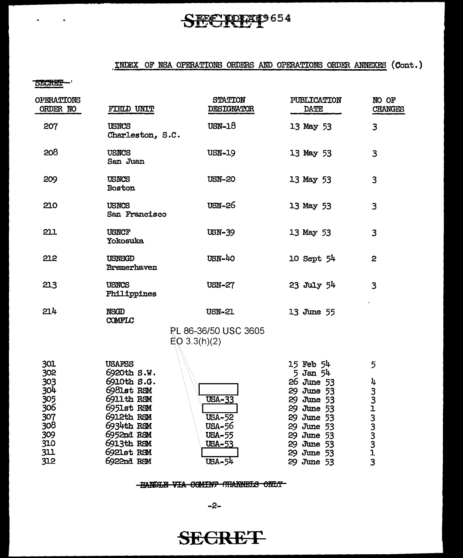# SECRET9654

## INDEX OF NSA OPERATIONS ORDERS AND OPERATIONS ORDER ANNEXES (Cont.)

**SECRET** 

 $\overline{a}$ 

 $\bullet$ 

| OPERATIONS<br>ORDER NO                               | FIELD UNIT                                                                                                   | <b>STATION</b><br><b>DESIGNATOR</b>                                        | <b>PUBLICATION</b><br><b>DATE</b>                                                                            | NO OF<br><b>CHANGES</b> |
|------------------------------------------------------|--------------------------------------------------------------------------------------------------------------|----------------------------------------------------------------------------|--------------------------------------------------------------------------------------------------------------|-------------------------|
| 207                                                  | <b>USNCS</b><br>Charleston, S.C.                                                                             | $USN-18$                                                                   | 13 May 53                                                                                                    | 3                       |
| 208                                                  | <b>USNCS</b><br>San Juan                                                                                     | <b>USN-19</b>                                                              | 13 May 53                                                                                                    | 3                       |
| 209                                                  | <b>USNCS</b><br>Boston                                                                                       | <b>USN-20</b>                                                              | 13 May 53                                                                                                    | 3                       |
| 210                                                  | <b>USNCS</b><br>San Francisco                                                                                | USN-26                                                                     | 13 May 53                                                                                                    | 3                       |
| 211                                                  | <b>USNCF</b><br><b>Yokosuka</b>                                                                              | $USN-39$                                                                   | 13 May 53                                                                                                    | 3                       |
| 212                                                  | USNSGD<br>Bremerhaven                                                                                        | USN-40                                                                     | $10$ Sept $54$                                                                                               | $\mathbf{c}$            |
| 213                                                  | <b>USNCS</b><br>Philippines                                                                                  | <b>USN-27</b>                                                              | $23$ July $54$                                                                                               | 3                       |
| 214                                                  | <b>NSGD</b><br>COMFLC                                                                                        | <b>USN-21</b><br>PL 86-36/50 USC 3605                                      | 13 June 55                                                                                                   |                         |
|                                                      |                                                                                                              | EQ 3.3(h)(2)                                                               |                                                                                                              |                         |
| 301<br>302<br>303                                    | <b>USAFSS</b><br>6920th S.W.<br>6910th S.G.                                                                  |                                                                            | 15 Feb 54<br>$5$ Jan $54$<br>26 June 53                                                                      | 5<br>4                  |
| 304<br>305<br>306<br>307<br>308<br>309<br>310<br>311 | 6981st RSM<br>6911th RSM<br>6951st RSM<br>6912th RSM<br>6934th RSM<br>6952nd RSM<br>6913th RSM<br>6921st RSM | <b>USA-33</b><br><b>USA-52</b><br>USA-56<br><b>USA-55</b><br><b>USA-53</b> | 29 June 53<br>29 June 53<br>29 June 53<br>29 June 53<br>29 June 53<br>29 June 53<br>29 June 53<br>29 June 53 | 33133331313             |
| 312                                                  | 6922nd RSM                                                                                                   | USA-54                                                                     | 29 June 53                                                                                                   |                         |

#### -HANDLE VIA COMINT CHANNELS ONLY

 $-2-$ 

**SECRET**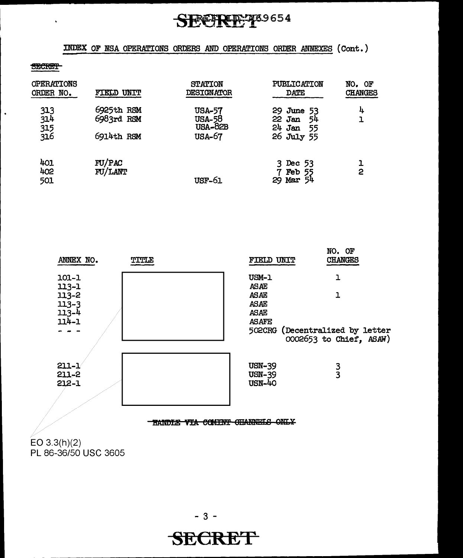# **REFRIE: 789654**

INDEX OF NSA OPERATIONS ORDERS AND OPERATIONS ORDER ANNEXES {Cont. )

#### **SECRET**

 $\ddot{\phantom{a}}$ 

 $\ddot{\phantom{a}}$ 

| <b>OPERATIONS</b><br>ORDER NO. | FIELD UNIT                             | <b>STATION</b><br><b>DESIGNATOR</b>                               | PUBLICATION<br>DATE                                    | NO. OF<br><b>CHANGES</b> |
|--------------------------------|----------------------------------------|-------------------------------------------------------------------|--------------------------------------------------------|--------------------------|
| 313<br>314<br>315<br>316       | 6925th RSM<br>6983rd RSM<br>6914th RSM | <b>USA-57</b><br><b>USA-58</b><br><b>USA-82B</b><br><b>USA-67</b> | 29 June 53<br>$22$ Jan $54$<br>24 Jan 55<br>26 July 55 | 4                        |
| 401<br>402<br>501              | FU/PAC<br>FU/LANT                      | <b>USF-61</b>                                                     | $3$ Dec $53$<br>Feb 55<br>Mar $54$<br>29               | 2                        |



EO 3.3(h)(2) PL 86-36/50 USC 3605

**SECRET**